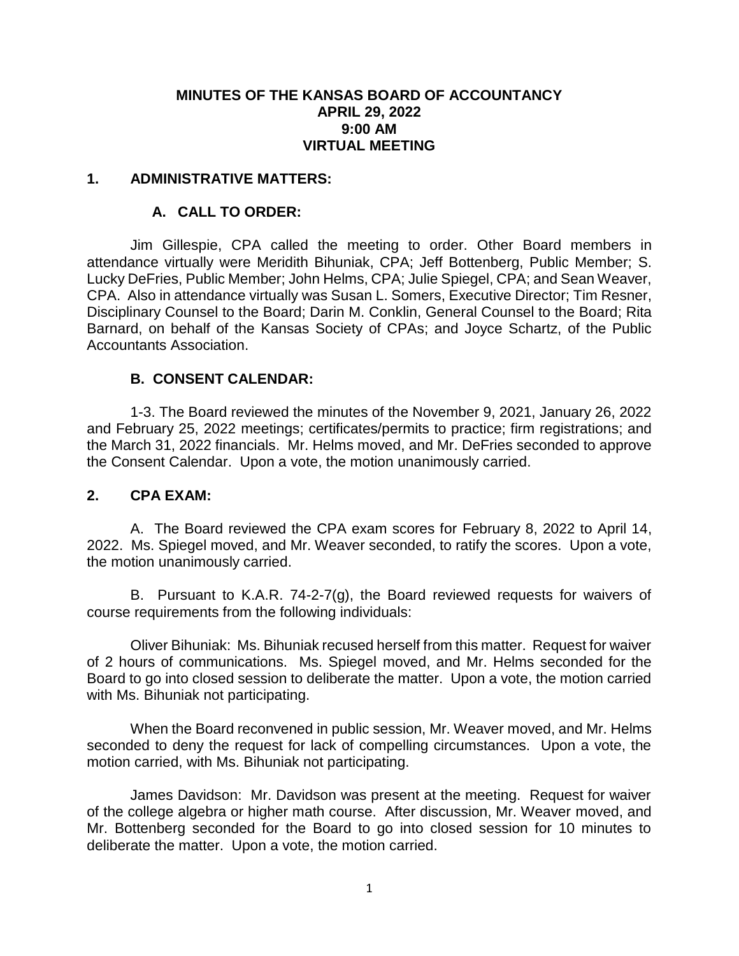### **MINUTES OF THE KANSAS BOARD OF ACCOUNTANCY APRIL 29, 2022 9:00 AM VIRTUAL MEETING**

### **1. ADMINISTRATIVE MATTERS:**

### **A. CALL TO ORDER:**

Jim Gillespie, CPA called the meeting to order. Other Board members in attendance virtually were Meridith Bihuniak, CPA; Jeff Bottenberg, Public Member; S. Lucky DeFries, Public Member; John Helms, CPA; Julie Spiegel, CPA; and Sean Weaver, CPA. Also in attendance virtually was Susan L. Somers, Executive Director; Tim Resner, Disciplinary Counsel to the Board; Darin M. Conklin, General Counsel to the Board; Rita Barnard, on behalf of the Kansas Society of CPAs; and Joyce Schartz, of the Public Accountants Association.

## **B. CONSENT CALENDAR:**

1-3. The Board reviewed the minutes of the November 9, 2021, January 26, 2022 and February 25, 2022 meetings; certificates/permits to practice; firm registrations; and the March 31, 2022 financials. Mr. Helms moved, and Mr. DeFries seconded to approve the Consent Calendar. Upon a vote, the motion unanimously carried.

#### **2. CPA EXAM:**

A. The Board reviewed the CPA exam scores for February 8, 2022 to April 14, 2022. Ms. Spiegel moved, and Mr. Weaver seconded, to ratify the scores. Upon a vote, the motion unanimously carried.

B. Pursuant to K.A.R. 74-2-7(g), the Board reviewed requests for waivers of course requirements from the following individuals:

Oliver Bihuniak: Ms. Bihuniak recused herself from this matter. Request for waiver of 2 hours of communications. Ms. Spiegel moved, and Mr. Helms seconded for the Board to go into closed session to deliberate the matter. Upon a vote, the motion carried with Ms. Bihuniak not participating.

When the Board reconvened in public session, Mr. Weaver moved, and Mr. Helms seconded to deny the request for lack of compelling circumstances. Upon a vote, the motion carried, with Ms. Bihuniak not participating.

James Davidson: Mr. Davidson was present at the meeting. Request for waiver of the college algebra or higher math course. After discussion, Mr. Weaver moved, and Mr. Bottenberg seconded for the Board to go into closed session for 10 minutes to deliberate the matter. Upon a vote, the motion carried.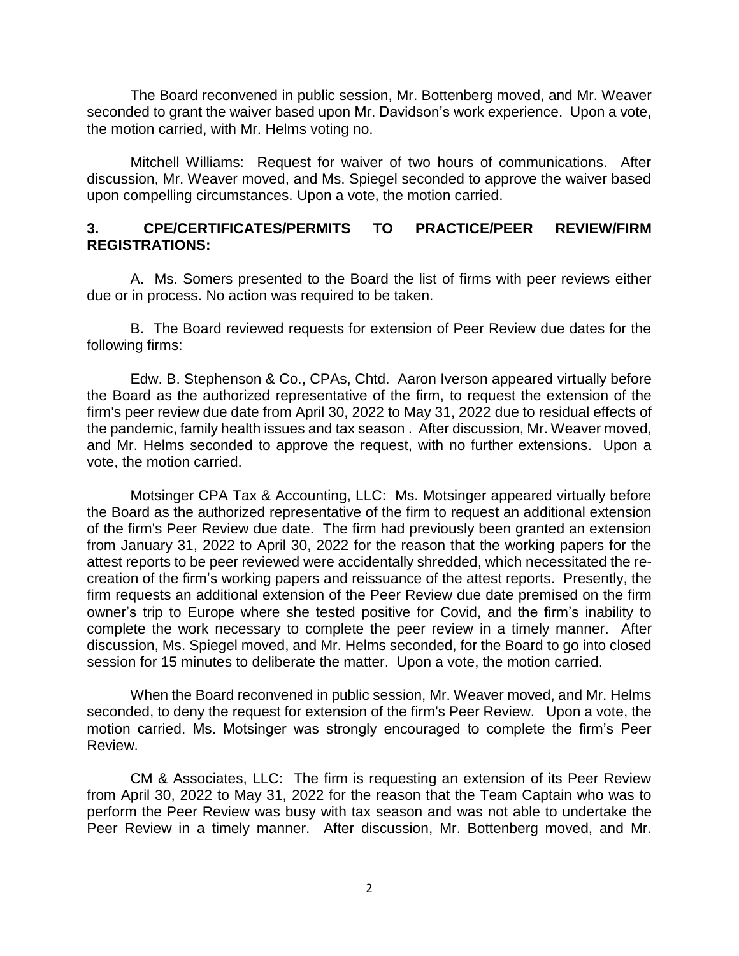The Board reconvened in public session, Mr. Bottenberg moved, and Mr. Weaver seconded to grant the waiver based upon Mr. Davidson's work experience. Upon a vote, the motion carried, with Mr. Helms voting no.

Mitchell Williams: Request for waiver of two hours of communications. After discussion, Mr. Weaver moved, and Ms. Spiegel seconded to approve the waiver based upon compelling circumstances. Upon a vote, the motion carried.

### **3. CPE/CERTIFICATES/PERMITS TO PRACTICE/PEER REVIEW/FIRM REGISTRATIONS:**

A. Ms. Somers presented to the Board the list of firms with peer reviews either due or in process. No action was required to be taken.

B. The Board reviewed requests for extension of Peer Review due dates for the following firms:

Edw. B. Stephenson & Co., CPAs, Chtd. Aaron Iverson appeared virtually before the Board as the authorized representative of the firm, to request the extension of the firm's peer review due date from April 30, 2022 to May 31, 2022 due to residual effects of the pandemic, family health issues and tax season . After discussion, Mr. Weaver moved, and Mr. Helms seconded to approve the request, with no further extensions. Upon a vote, the motion carried.

Motsinger CPA Tax & Accounting, LLC: Ms. Motsinger appeared virtually before the Board as the authorized representative of the firm to request an additional extension of the firm's Peer Review due date. The firm had previously been granted an extension from January 31, 2022 to April 30, 2022 for the reason that the working papers for the attest reports to be peer reviewed were accidentally shredded, which necessitated the recreation of the firm's working papers and reissuance of the attest reports. Presently, the firm requests an additional extension of the Peer Review due date premised on the firm owner's trip to Europe where she tested positive for Covid, and the firm's inability to complete the work necessary to complete the peer review in a timely manner. After discussion, Ms. Spiegel moved, and Mr. Helms seconded, for the Board to go into closed session for 15 minutes to deliberate the matter. Upon a vote, the motion carried.

When the Board reconvened in public session, Mr. Weaver moved, and Mr. Helms seconded, to deny the request for extension of the firm's Peer Review. Upon a vote, the motion carried. Ms. Motsinger was strongly encouraged to complete the firm's Peer Review.

CM & Associates, LLC: The firm is requesting an extension of its Peer Review from April 30, 2022 to May 31, 2022 for the reason that the Team Captain who was to perform the Peer Review was busy with tax season and was not able to undertake the Peer Review in a timely manner. After discussion, Mr. Bottenberg moved, and Mr.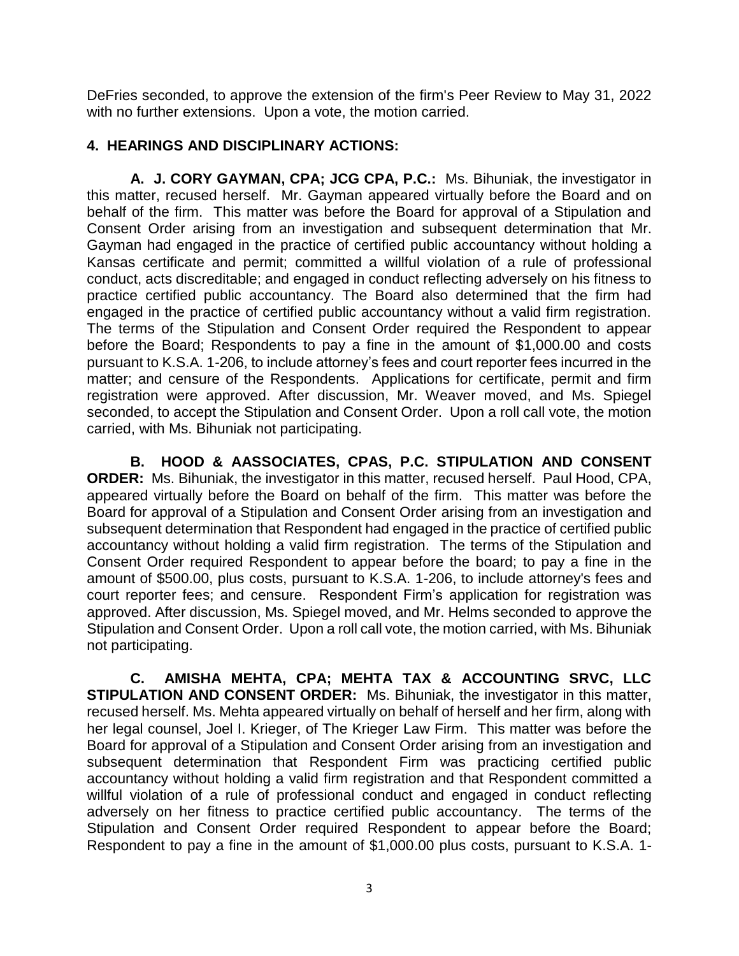DeFries seconded, to approve the extension of the firm's Peer Review to May 31, 2022 with no further extensions. Upon a vote, the motion carried.

## **4. HEARINGS AND DISCIPLINARY ACTIONS:**

**A. J. CORY GAYMAN, CPA; JCG CPA, P.C.:** Ms. Bihuniak, the investigator in this matter, recused herself. Mr. Gayman appeared virtually before the Board and on behalf of the firm. This matter was before the Board for approval of a Stipulation and Consent Order arising from an investigation and subsequent determination that Mr. Gayman had engaged in the practice of certified public accountancy without holding a Kansas certificate and permit; committed a willful violation of a rule of professional conduct, acts discreditable; and engaged in conduct reflecting adversely on his fitness to practice certified public accountancy. The Board also determined that the firm had engaged in the practice of certified public accountancy without a valid firm registration. The terms of the Stipulation and Consent Order required the Respondent to appear before the Board; Respondents to pay a fine in the amount of \$1,000.00 and costs pursuant to K.S.A. 1-206, to include attorney's fees and court reporter fees incurred in the matter; and censure of the Respondents. Applications for certificate, permit and firm registration were approved. After discussion, Mr. Weaver moved, and Ms. Spiegel seconded, to accept the Stipulation and Consent Order. Upon a roll call vote, the motion carried, with Ms. Bihuniak not participating.

**B. HOOD & AASSOCIATES, CPAS, P.C. STIPULATION AND CONSENT ORDER:** Ms. Bihuniak, the investigator in this matter, recused herself. Paul Hood, CPA, appeared virtually before the Board on behalf of the firm. This matter was before the Board for approval of a Stipulation and Consent Order arising from an investigation and subsequent determination that Respondent had engaged in the practice of certified public accountancy without holding a valid firm registration. The terms of the Stipulation and Consent Order required Respondent to appear before the board; to pay a fine in the amount of \$500.00, plus costs, pursuant to K.S.A. 1-206, to include attorney's fees and court reporter fees; and censure. Respondent Firm's application for registration was approved. After discussion, Ms. Spiegel moved, and Mr. Helms seconded to approve the Stipulation and Consent Order. Upon a roll call vote, the motion carried, with Ms. Bihuniak not participating.

**C. AMISHA MEHTA, CPA; MEHTA TAX & ACCOUNTING SRVC, LLC STIPULATION AND CONSENT ORDER:** Ms. Bihuniak, the investigator in this matter, recused herself. Ms. Mehta appeared virtually on behalf of herself and her firm, along with her legal counsel, Joel I. Krieger, of The Krieger Law Firm. This matter was before the Board for approval of a Stipulation and Consent Order arising from an investigation and subsequent determination that Respondent Firm was practicing certified public accountancy without holding a valid firm registration and that Respondent committed a willful violation of a rule of professional conduct and engaged in conduct reflecting adversely on her fitness to practice certified public accountancy. The terms of the Stipulation and Consent Order required Respondent to appear before the Board; Respondent to pay a fine in the amount of \$1,000.00 plus costs, pursuant to K.S.A. 1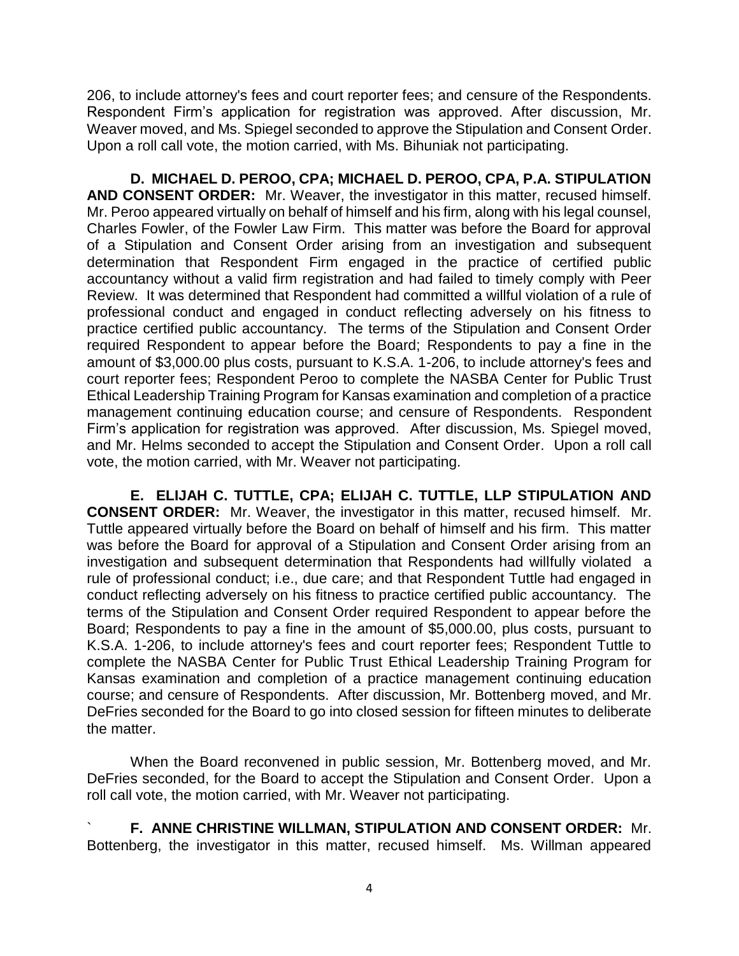206, to include attorney's fees and court reporter fees; and censure of the Respondents. Respondent Firm's application for registration was approved. After discussion, Mr. Weaver moved, and Ms. Spiegel seconded to approve the Stipulation and Consent Order. Upon a roll call vote, the motion carried, with Ms. Bihuniak not participating.

**D. MICHAEL D. PEROO, CPA; MICHAEL D. PEROO, CPA, P.A. STIPULATION AND CONSENT ORDER:** Mr. Weaver, the investigator in this matter, recused himself. Mr. Peroo appeared virtually on behalf of himself and his firm, along with his legal counsel, Charles Fowler, of the Fowler Law Firm. This matter was before the Board for approval of a Stipulation and Consent Order arising from an investigation and subsequent determination that Respondent Firm engaged in the practice of certified public accountancy without a valid firm registration and had failed to timely comply with Peer Review. It was determined that Respondent had committed a willful violation of a rule of professional conduct and engaged in conduct reflecting adversely on his fitness to practice certified public accountancy. The terms of the Stipulation and Consent Order required Respondent to appear before the Board; Respondents to pay a fine in the amount of \$3,000.00 plus costs, pursuant to K.S.A. 1-206, to include attorney's fees and court reporter fees; Respondent Peroo to complete the NASBA Center for Public Trust Ethical Leadership Training Program for Kansas examination and completion of a practice management continuing education course; and censure of Respondents. Respondent Firm's application for registration was approved. After discussion, Ms. Spiegel moved, and Mr. Helms seconded to accept the Stipulation and Consent Order. Upon a roll call vote, the motion carried, with Mr. Weaver not participating.

**E. ELIJAH C. TUTTLE, CPA; ELIJAH C. TUTTLE, LLP STIPULATION AND CONSENT ORDER:** Mr. Weaver, the investigator in this matter, recused himself. Mr. Tuttle appeared virtually before the Board on behalf of himself and his firm. This matter was before the Board for approval of a Stipulation and Consent Order arising from an investigation and subsequent determination that Respondents had willfully violated a rule of professional conduct; i.e., due care; and that Respondent Tuttle had engaged in conduct reflecting adversely on his fitness to practice certified public accountancy. The terms of the Stipulation and Consent Order required Respondent to appear before the Board; Respondents to pay a fine in the amount of \$5,000.00, plus costs, pursuant to K.S.A. 1-206, to include attorney's fees and court reporter fees; Respondent Tuttle to complete the NASBA Center for Public Trust Ethical Leadership Training Program for Kansas examination and completion of a practice management continuing education course; and censure of Respondents. After discussion, Mr. Bottenberg moved, and Mr. DeFries seconded for the Board to go into closed session for fifteen minutes to deliberate the matter.

When the Board reconvened in public session, Mr. Bottenberg moved, and Mr. DeFries seconded, for the Board to accept the Stipulation and Consent Order. Upon a roll call vote, the motion carried, with Mr. Weaver not participating.

` **F. ANNE CHRISTINE WILLMAN, STIPULATION AND CONSENT ORDER:** Mr. Bottenberg, the investigator in this matter, recused himself. Ms. Willman appeared